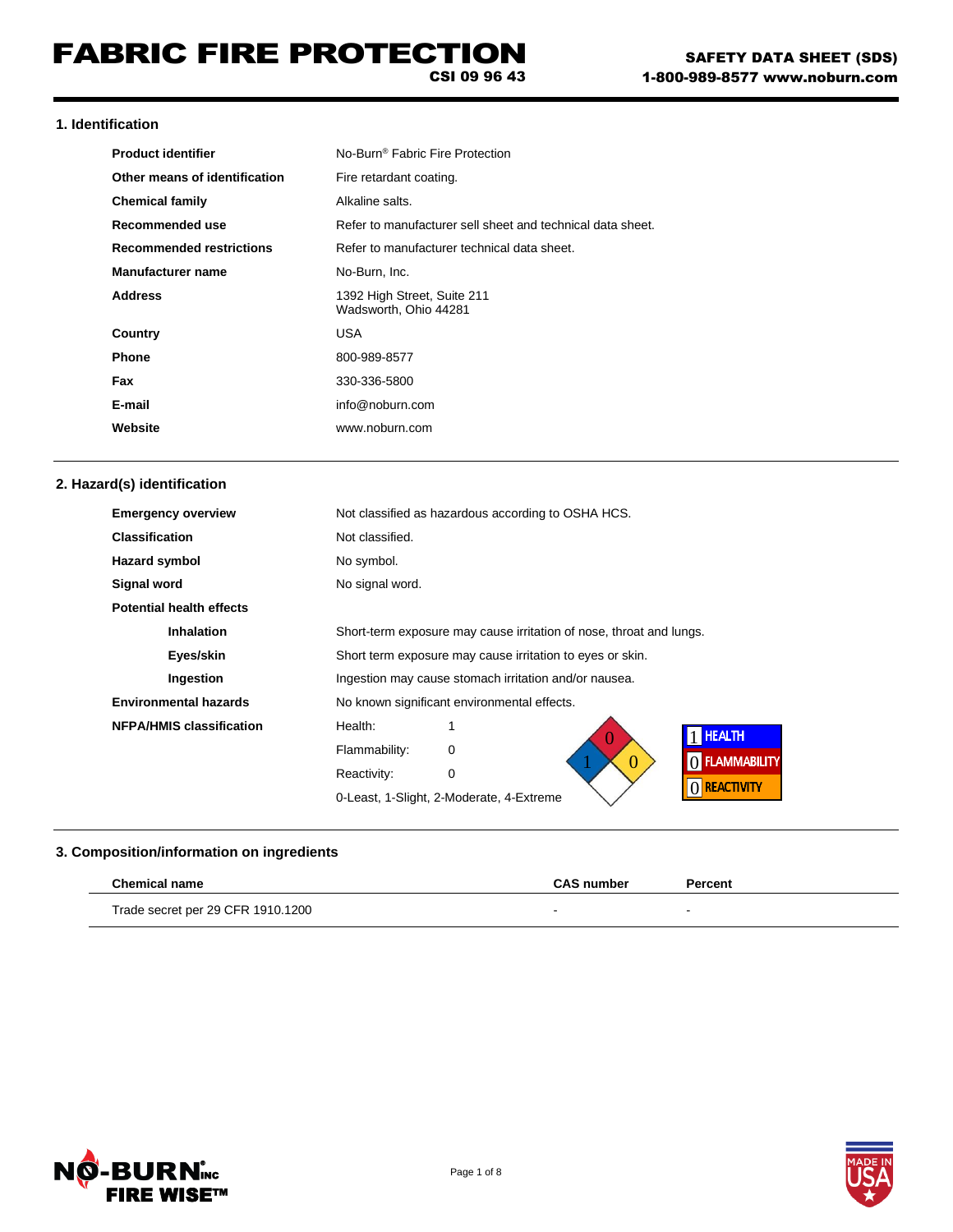CSI 09 96 43

## **1. Identification**

| <b>Product identifier</b>       | No-Burn <sup>®</sup> Fabric Fire Protection                |
|---------------------------------|------------------------------------------------------------|
| Other means of identification   | Fire retardant coating.                                    |
| <b>Chemical family</b>          | Alkaline salts.                                            |
| Recommended use                 | Refer to manufacturer sell sheet and technical data sheet. |
| <b>Recommended restrictions</b> | Refer to manufacturer technical data sheet.                |
| Manufacturer name               | No-Burn, Inc.                                              |
| <b>Address</b>                  | 1392 High Street, Suite 211<br>Wadsworth. Ohio 44281       |
| Country                         | USA                                                        |
| <b>Phone</b>                    | 800-989-8577                                               |
| <b>Fax</b>                      | 330-336-5800                                               |
| E-mail                          | info@noburn.com                                            |
| Website                         | www.noburn.com                                             |

## **2. Hazard(s) identification**

| <b>Emergency overview</b>       | Not classified as hazardous according to OSHA HCS.                  |  |
|---------------------------------|---------------------------------------------------------------------|--|
| <b>Classification</b>           | Not classified.                                                     |  |
| <b>Hazard symbol</b>            | No symbol.                                                          |  |
| Signal word                     | No signal word.                                                     |  |
| <b>Potential health effects</b> |                                                                     |  |
| <b>Inhalation</b>               | Short-term exposure may cause irritation of nose, throat and lungs. |  |
| Eyes/skin                       | Short term exposure may cause irritation to eyes or skin.           |  |
| Ingestion                       | Ingestion may cause stomach irritation and/or nausea.               |  |
| <b>Environmental hazards</b>    | No known significant environmental effects.                         |  |
| <b>NFPA/HMIS classification</b> | Health:<br><b>HEALTH</b>                                            |  |
|                                 | Flammability:<br>0<br><b>FLAMMABILITY</b>                           |  |
|                                 | Reactivity:<br>0                                                    |  |
|                                 | () REACTIVITY<br>0-Least, 1-Slight, 2-Moderate, 4-Extreme           |  |

## **3. Composition/information on ingredients**

| <b>Chemical name</b>              | <b>CAS number</b> | Percent                  |
|-----------------------------------|-------------------|--------------------------|
| Trade secret per 29 CFR 1910.1200 |                   | $\overline{\phantom{0}}$ |



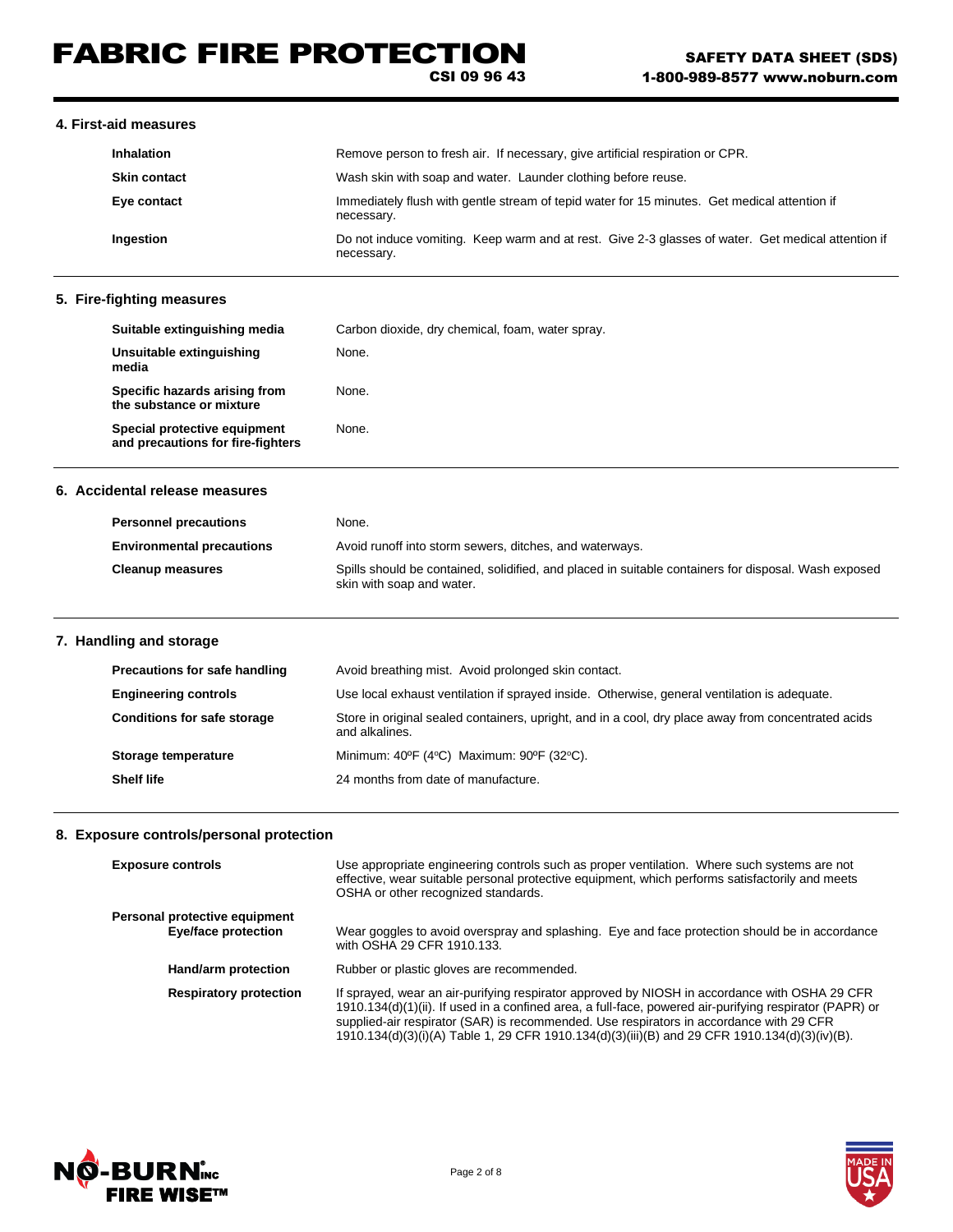# FABRIC FIRE PROTECTION

CSI 09 96 43

## **4. First-aid measures**

| <b>Inhalation</b>   | Remove person to fresh air. If necessary, give artificial respiration or CPR.                                    |  |
|---------------------|------------------------------------------------------------------------------------------------------------------|--|
| <b>Skin contact</b> | Wash skin with soap and water. Launder clothing before reuse.                                                    |  |
| Eye contact         | Immediately flush with gentle stream of tepid water for 15 minutes. Get medical attention if<br>necessary.       |  |
| Ingestion           | Do not induce vomiting. Keep warm and at rest. Give 2-3 glasses of water. Get medical attention if<br>necessary. |  |

#### **5. Fire-fighting measures**

| Suitable extinguishing media                                      | Carbon dioxide, dry chemical, foam, water spray. |
|-------------------------------------------------------------------|--------------------------------------------------|
| Unsuitable extinguishing<br>media                                 | None.                                            |
| Specific hazards arising from<br>the substance or mixture         | None.                                            |
| Special protective equipment<br>and precautions for fire-fighters | None.                                            |

## **6. Accidental release measures**

| <b>Personnel precautions</b>     | None.                                                                                                                             |
|----------------------------------|-----------------------------------------------------------------------------------------------------------------------------------|
| <b>Environmental precautions</b> | Avoid runoff into storm sewers, ditches, and waterways.                                                                           |
| <b>Cleanup measures</b>          | Spills should be contained, solidified, and placed in suitable containers for disposal. Wash exposed<br>skin with soap and water. |

## **7. Handling and storage**

| Precautions for safe handling      | Avoid breathing mist. Avoid prolonged skin contact.                                                                   |  |
|------------------------------------|-----------------------------------------------------------------------------------------------------------------------|--|
| <b>Engineering controls</b>        | Use local exhaust ventilation if sprayed inside. Otherwise, general ventilation is adequate.                          |  |
| <b>Conditions for safe storage</b> | Store in original sealed containers, upright, and in a cool, dry place away from concentrated acids<br>and alkalines. |  |
| Storage temperature                | Minimum: $40^{\circ}F$ (4 $^{\circ}C$ ) Maximum: $90^{\circ}F$ (32 $^{\circ}C$ ).                                     |  |
| <b>Shelf life</b>                  | 24 months from date of manufacture.                                                                                   |  |

### **8. Exposure controls/personal protection**

| <b>Exposure controls</b>                             | Use appropriate engineering controls such as proper ventilation. Where such systems are not<br>effective, wear suitable personal protective equipment, which performs satisfactorily and meets<br>OSHA or other recognized standards.                                                                                                                                                                |
|------------------------------------------------------|------------------------------------------------------------------------------------------------------------------------------------------------------------------------------------------------------------------------------------------------------------------------------------------------------------------------------------------------------------------------------------------------------|
| Personal protective equipment<br>Eye/face protection | Wear goggles to avoid overspray and splashing. Eye and face protection should be in accordance<br>with OSHA 29 CFR 1910.133.                                                                                                                                                                                                                                                                         |
| Hand/arm protection                                  | Rubber or plastic gloves are recommended.                                                                                                                                                                                                                                                                                                                                                            |
| <b>Respiratory protection</b>                        | If sprayed, wear an air-purifying respirator approved by NIOSH in accordance with OSHA 29 CFR<br>1910.134(d)(1)(ii). If used in a confined area, a full-face, powered air-purifying respirator (PAPR) or<br>supplied-air respirator (SAR) is recommended. Use respirators in accordance with 29 CFR<br>1910.134(d)(3)(i)(A) Table 1, 29 CFR 1910.134(d)(3)(iii)(B) and 29 CFR 1910.134(d)(3)(iv)(B). |



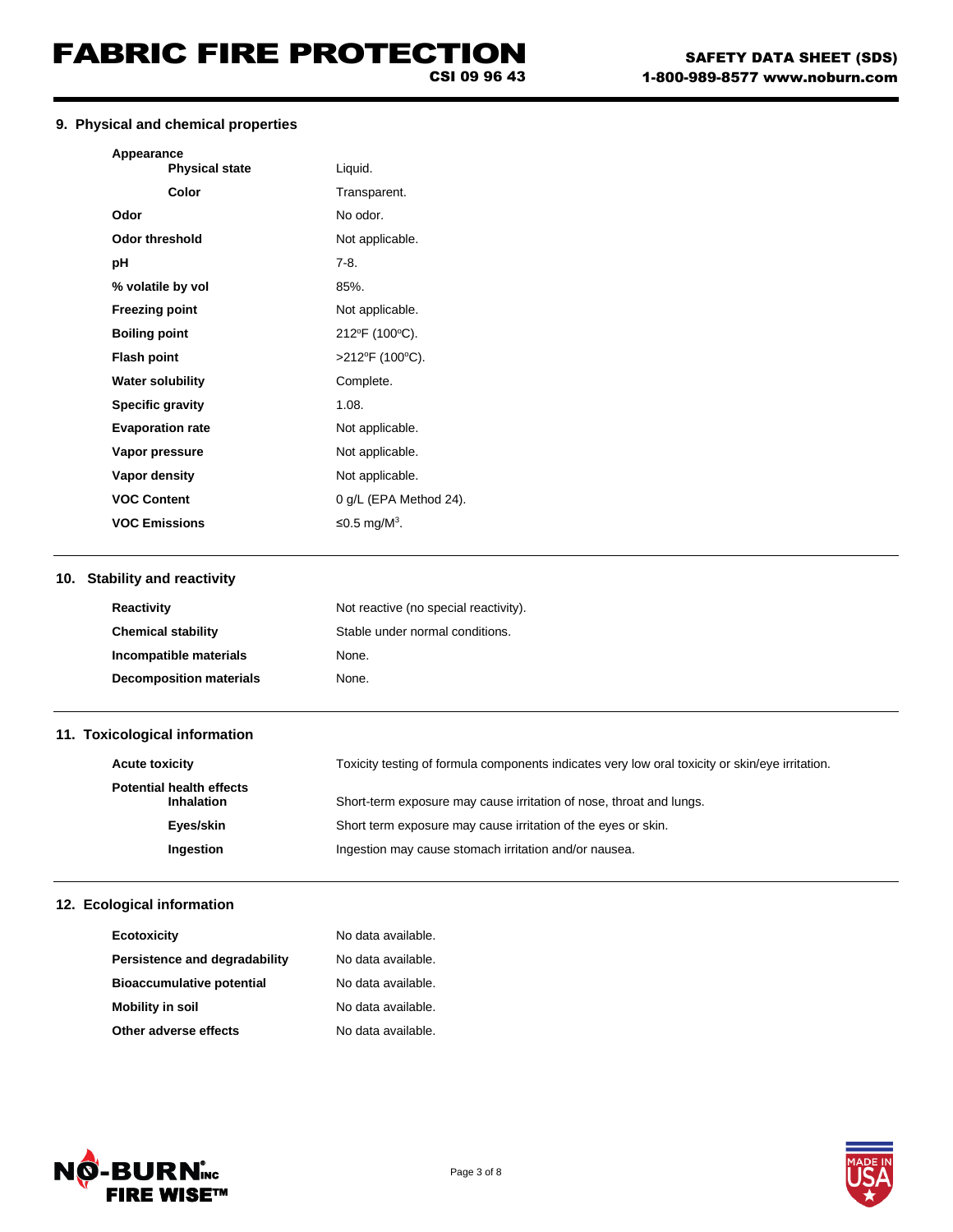CSI 09 96 43

### **9. Physical and chemical properties**

|     | Appearance<br><b>Physical state</b>           | Liquid.                                                                                         |
|-----|-----------------------------------------------|-------------------------------------------------------------------------------------------------|
|     | Color                                         | Transparent.                                                                                    |
|     | Odor                                          | No odor.                                                                                        |
|     | <b>Odor threshold</b>                         | Not applicable.                                                                                 |
|     | рH                                            | $7-8.$                                                                                          |
|     | % volatile by vol                             | 85%.                                                                                            |
|     | <b>Freezing point</b>                         | Not applicable.                                                                                 |
|     | <b>Boiling point</b>                          | 212°F (100°C).                                                                                  |
|     | <b>Flash point</b>                            | >212°F (100°C).                                                                                 |
|     | <b>Water solubility</b>                       | Complete.                                                                                       |
|     | <b>Specific gravity</b>                       | 1.08.                                                                                           |
|     | <b>Evaporation rate</b>                       | Not applicable.                                                                                 |
|     | Vapor pressure                                | Not applicable.                                                                                 |
|     | Vapor density                                 | Not applicable.                                                                                 |
|     | <b>VOC Content</b>                            | 0 g/L (EPA Method 24).                                                                          |
|     | <b>VOC Emissions</b>                          | ≤0.5 mg/ $M^3$ .                                                                                |
|     | 10. Stability and reactivity                  |                                                                                                 |
|     | Reactivity                                    | Not reactive (no special reactivity).                                                           |
|     | <b>Chemical stability</b>                     | Stable under normal conditions.                                                                 |
|     | Incompatible materials                        | None.                                                                                           |
|     | <b>Decomposition materials</b>                | None.                                                                                           |
|     | 11. Toxicological information                 |                                                                                                 |
|     | <b>Acute toxicity</b>                         | Toxicity testing of formula components indicates very low oral toxicity or skin/eye irritation. |
|     | <b>Potential health effects</b><br>Inhalation | Short-term exposure may cause irritation of nose, throat and lungs.                             |
|     | Eyes/skin                                     | Short term exposure may cause irritation of the eyes or skin.                                   |
|     | Ingestion                                     | Ingestion may cause stomach irritation and/or nausea.                                           |
|     |                                               |                                                                                                 |
| 12. | Ecological information                        |                                                                                                 |

## **12. Ecological information**

| Ecotoxicity                      | No data available. |
|----------------------------------|--------------------|
| Persistence and degradability    | No data available. |
| <b>Bioaccumulative potential</b> | No data available. |
| <b>Mobility in soil</b>          | No data available. |
| Other adverse effects            | No data available. |



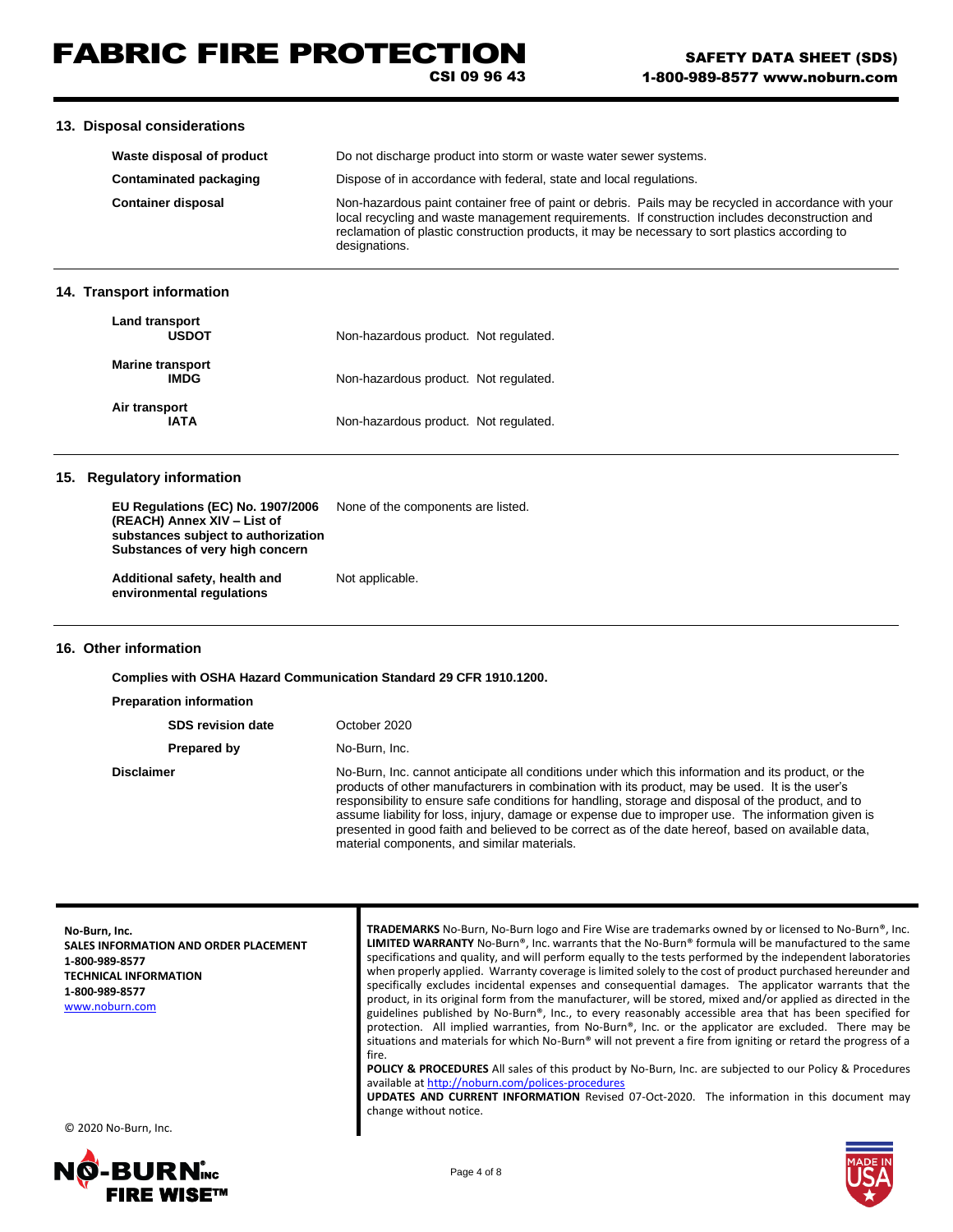CSI 09 96 43

#### **13. Disposal considerations**

| Waste disposal of product             | Do not discharge product into storm or waste water sewer systems.                                                                                                                                                                                                                                                          |  |
|---------------------------------------|----------------------------------------------------------------------------------------------------------------------------------------------------------------------------------------------------------------------------------------------------------------------------------------------------------------------------|--|
| Contaminated packaging                | Dispose of in accordance with federal, state and local regulations.                                                                                                                                                                                                                                                        |  |
| <b>Container disposal</b>             | Non-hazardous paint container free of paint or debris. Pails may be recycled in accordance with your<br>local recycling and waste management requirements. If construction includes deconstruction and<br>reclamation of plastic construction products, it may be necessary to sort plastics according to<br>designations. |  |
| 14. Transport information             |                                                                                                                                                                                                                                                                                                                            |  |
| <b>Land transport</b><br><b>HSDOT</b> | Non-hazardous product Not requisied                                                                                                                                                                                                                                                                                        |  |

| <b>USDOT</b>                           | Non-hazardous product. Not regulated. |
|----------------------------------------|---------------------------------------|
| <b>Marine transport</b><br><b>IMDG</b> | Non-hazardous product. Not regulated. |
| Air transport<br>IATA                  | Non-hazardous product. Not regulated. |

#### **15. Regulatory information**

**EU Regulations (EC) No. 1907/2006** None of the components are listed. **(REACH) Annex XIV – List of substances subject to authorization Substances of very high concern**

Additional safety, health and Not applicable. **environmental regulations**

#### **16. Other information**

**Complies with OSHA Hazard Communication Standard 29 CFR 1910.1200.**

**Preparation information**

**SDS revision date** October 2020 **Prepared by No-Burn, Inc.** 

**Disclaimer** No-Burn, Inc. cannot anticipate all conditions under which this information and its product, or the products of other manufacturers in combination with its product, may be used. It is the user's responsibility to ensure safe conditions for handling, storage and disposal of the product, and to assume liability for loss, injury, damage or expense due to improper use. The information given is presented in good faith and believed to be correct as of the date hereof, based on available data, material components, and similar materials.

**No-Burn, Inc. SALES INFORMATION AND ORDER PLACEMENT 1-800-989-8577 TECHNICAL INFORMATION 1-800-989-8577** [www.noburn.com](http://www.noburn.com/)

**TRADEMARKS** No-Burn, No-Burn logo and Fire Wise are trademarks owned by or licensed to No-Burn®, Inc. **LIMITED WARRANTY** No-Burn®, Inc. warrants that the No-Burn® formula will be manufactured to the same specifications and quality, and will perform equally to the tests performed by the independent laboratories when properly applied. Warranty coverage is limited solely to the cost of product purchased hereunder and specifically excludes incidental expenses and consequential damages. The applicator warrants that the product, in its original form from the manufacturer, will be stored, mixed and/or applied as directed in the guidelines published by No-Burn®, Inc., to every reasonably accessible area that has been specified for protection. All implied warranties, from No-Burn®, Inc. or the applicator are excluded. There may be situations and materials for which No-Burn® will not prevent a fire from igniting or retard the progress of a fire.

**POLICY & PROCEDURES** All sales of this product by No-Burn, Inc. are subjected to our Policy & Procedures available at http://noburn.com/polices-procedure

**UPDATES AND CURRENT INFORMATION** Revised 07-Oct-2020. The information in this document may change without notice.

© 2020 No-Burn, Inc.

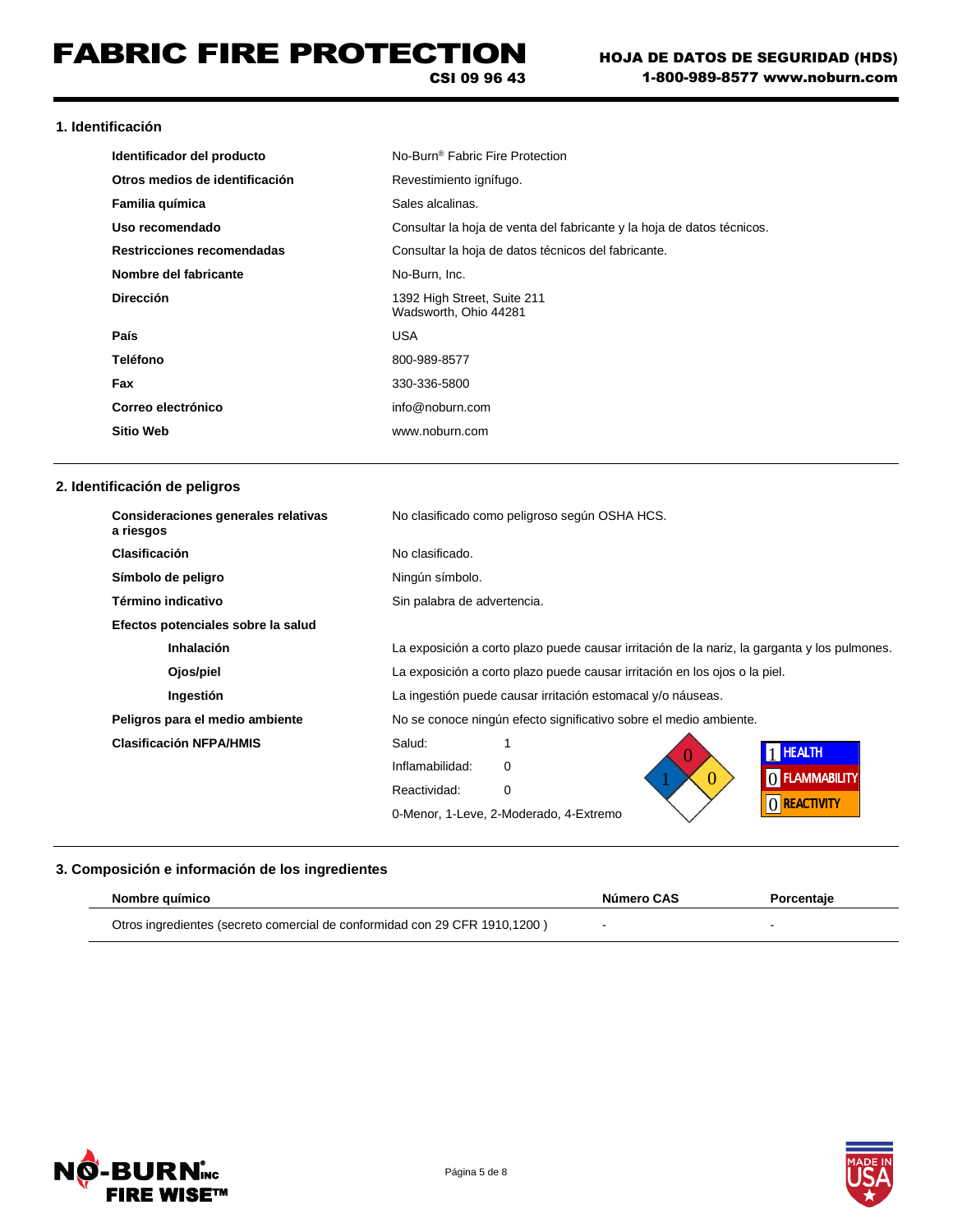#### **1. Identificación**

| Identificador del producto     | No-Burn <sup>®</sup> Fabric Fire Protection                            |
|--------------------------------|------------------------------------------------------------------------|
| Otros medios de identificación | Revestimiento ignífugo.                                                |
| Familia química                | Sales alcalinas.                                                       |
| Uso recomendado                | Consultar la hoja de venta del fabricante y la hoja de datos técnicos. |
| Restricciones recomendadas     | Consultar la hoja de datos técnicos del fabricante.                    |
| Nombre del fabricante          | No-Burn, Inc.                                                          |
| <b>Dirección</b>               | 1392 High Street, Suite 211<br>Wadsworth, Ohio 44281                   |
| País                           | <b>USA</b>                                                             |
| Teléfono                       | 800-989-8577                                                           |
| Fax                            | 330-336-5800                                                           |
| Correo electrónico             | info@noburn.com                                                        |
| <b>Sitio Web</b>               | www.noburn.com                                                         |

### **2. Identificación de peligros**

| Consideraciones generales relativas<br>a riesgos | No clasificado como peligroso según OSHA HCS.                                                |  |
|--------------------------------------------------|----------------------------------------------------------------------------------------------|--|
| Clasificación                                    | No clasificado.                                                                              |  |
| Símbolo de peligro                               | Ningún símbolo.                                                                              |  |
| Término indicativo                               | Sin palabra de advertencia.                                                                  |  |
| Efectos potenciales sobre la salud               |                                                                                              |  |
| Inhalación                                       | La exposición a corto plazo puede causar irritación de la nariz, la garganta y los pulmones. |  |
| Ojos/piel                                        | La exposición a corto plazo puede causar irritación en los ojos o la piel.                   |  |
| Ingestión                                        | La ingestión puede causar irritación estomacal y/o náuseas.                                  |  |
| Peligros para el medio ambiente                  | No se conoce ningún efecto significativo sobre el medio ambiente.                            |  |
| <b>Clasificación NFPA/HMIS</b>                   | Salud:<br>1 HEALTH                                                                           |  |
|                                                  | Inflamabilidad:<br>$\Omega$<br>() FLAMMABILITY                                               |  |
|                                                  | 0<br>Reactividad:<br>0                                                                       |  |
|                                                  | O REACTIVITY<br>0-Menor, 1-Leve, 2-Moderado, 4-Extremo                                       |  |

## **3. Composición e información de los ingredientes**

| Nombre guímico                                                             | Número CAS | Porcentaie |
|----------------------------------------------------------------------------|------------|------------|
| Otros ingredientes (secreto comercial de conformidad con 29 CFR 1910,1200) |            |            |

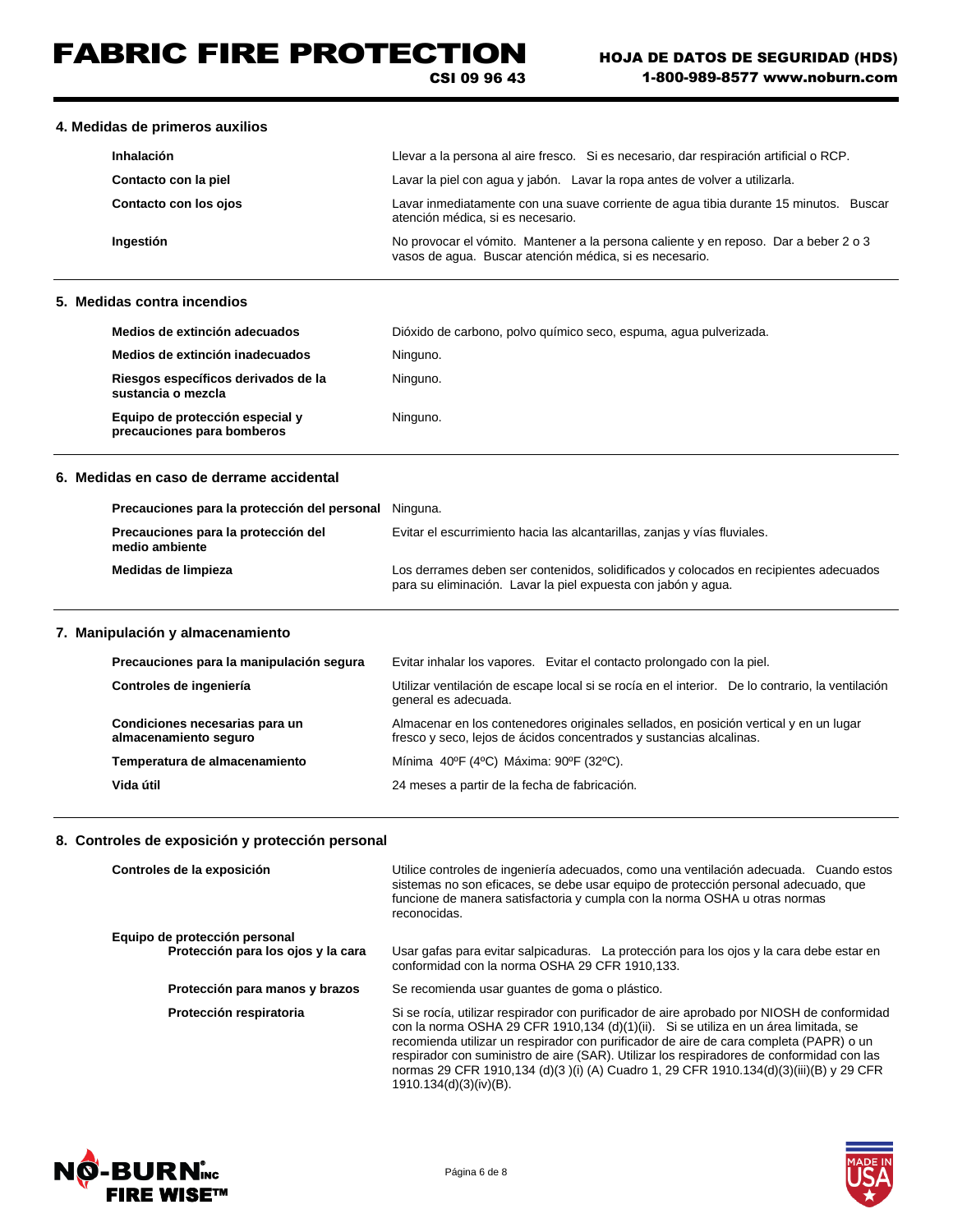# FABRIC FIRE PROTECTION

CSI 09 96 43

#### **4. Medidas de primeros auxilios**

| Inhalación            | Llevar a la persona al aire fresco. Si es necesario, dar respiración artificial o RCP.                                                          |
|-----------------------|-------------------------------------------------------------------------------------------------------------------------------------------------|
| Contacto con la piel  | Lavar la piel con agua y jabón. Lavar la ropa antes de volver a utilizarla.                                                                     |
| Contacto con los ojos | Lavar inmediatamente con una suave corriente de agua tibia durante 15 minutos. Buscar<br>atención médica, si es necesario.                      |
| Ingestión             | No provocar el vómito. Mantener a la persona caliente y en reposo. Dar a beber 2 o 3<br>vasos de aqua. Buscar atención médica, si es necesario. |

## **5. Medidas contra incendios**

| Medios de extinción adecuados                                 | Dióxido de carbono, polvo químico seco, espuma, aqua pulverizada. |
|---------------------------------------------------------------|-------------------------------------------------------------------|
| Medios de extinción inadecuados                               | Ninguno.                                                          |
| Riesgos específicos derivados de la<br>sustancia o mezcla     | Ninguno.                                                          |
| Equipo de protección especial y<br>precauciones para bomberos | Ninguno.                                                          |

#### **6. Medidas en caso de derrame accidental**

| Precauciones para la protección del personal Ninguna. |                                                                                                                                                        |
|-------------------------------------------------------|--------------------------------------------------------------------------------------------------------------------------------------------------------|
| Precauciones para la protección del<br>medio ambiente | Evitar el escurrimiento hacia las alcantarillas, zanjas y vías fluviales.                                                                              |
| Medidas de limpieza                                   | Los derrames deben ser contenidos, solidificados y colocados en recipientes adecuados<br>para su eliminación. Lavar la piel expuesta con jabón y agua. |

### **7. Manipulación y almacenamiento**

| Precauciones para la manipulación segura                | Evitar inhalar los vapores. Evitar el contacto prolongado con la piel.                                                                                       |  |
|---------------------------------------------------------|--------------------------------------------------------------------------------------------------------------------------------------------------------------|--|
| Controles de ingeniería                                 | Utilizar ventilación de escape local si se rocía en el interior. De lo contrario, la ventilación<br>general es adecuada.                                     |  |
| Condiciones necesarias para un<br>almacenamiento seguro | Almacenar en los contenedores originales sellados, en posición vertical y en un lugar<br>fresco y seco, lejos de ácidos concentrados y sustancias alcalinas. |  |
| Temperatura de almacenamiento                           | Mínima 40ºF (4ºC) Máxima: 90ºF (32ºC).                                                                                                                       |  |
| Vida útil                                               | 24 meses a partir de la fecha de fabricación.                                                                                                                |  |

#### **8. Controles de exposición y protección personal**

| Controles de la exposición                                          | Utilice controles de ingeniería adecuados, como una ventilación adecuada. Cuando estos<br>sistemas no son eficaces, se debe usar equipo de protección personal adecuado, que<br>funcione de manera satisfactoria y cumpla con la norma OSHA u otras normas<br>reconocidas.                                                                                                                                                                                                                  |
|---------------------------------------------------------------------|---------------------------------------------------------------------------------------------------------------------------------------------------------------------------------------------------------------------------------------------------------------------------------------------------------------------------------------------------------------------------------------------------------------------------------------------------------------------------------------------|
| Equipo de protección personal<br>Protección para los ojos y la cara | Usar gafas para evitar salpicaduras. La protección para los ojos y la cara debe estar en<br>conformidad con la norma OSHA 29 CFR 1910,133.                                                                                                                                                                                                                                                                                                                                                  |
| Protección para manos y brazos                                      | Se recomienda usar quantes de goma o plástico.                                                                                                                                                                                                                                                                                                                                                                                                                                              |
| Protección respiratoria                                             | Si se rocía, utilizar respirador con purificador de aire aprobado por NIOSH de conformidad<br>con la norma OSHA 29 CFR 1910,134 (d)(1)(ii). Si se utiliza en un área limitada, se<br>recomienda utilizar un respirador con purificador de aire de cara completa (PAPR) o un<br>respirador con suministro de aire (SAR). Utilizar los respiradores de conformidad con las<br>normas 29 CFR 1910,134 (d)(3)(i) (A) Cuadro 1, 29 CFR 1910.134(d)(3)(iii)(B) y 29 CFR<br>1910.134(d)(3)(iv)(B). |



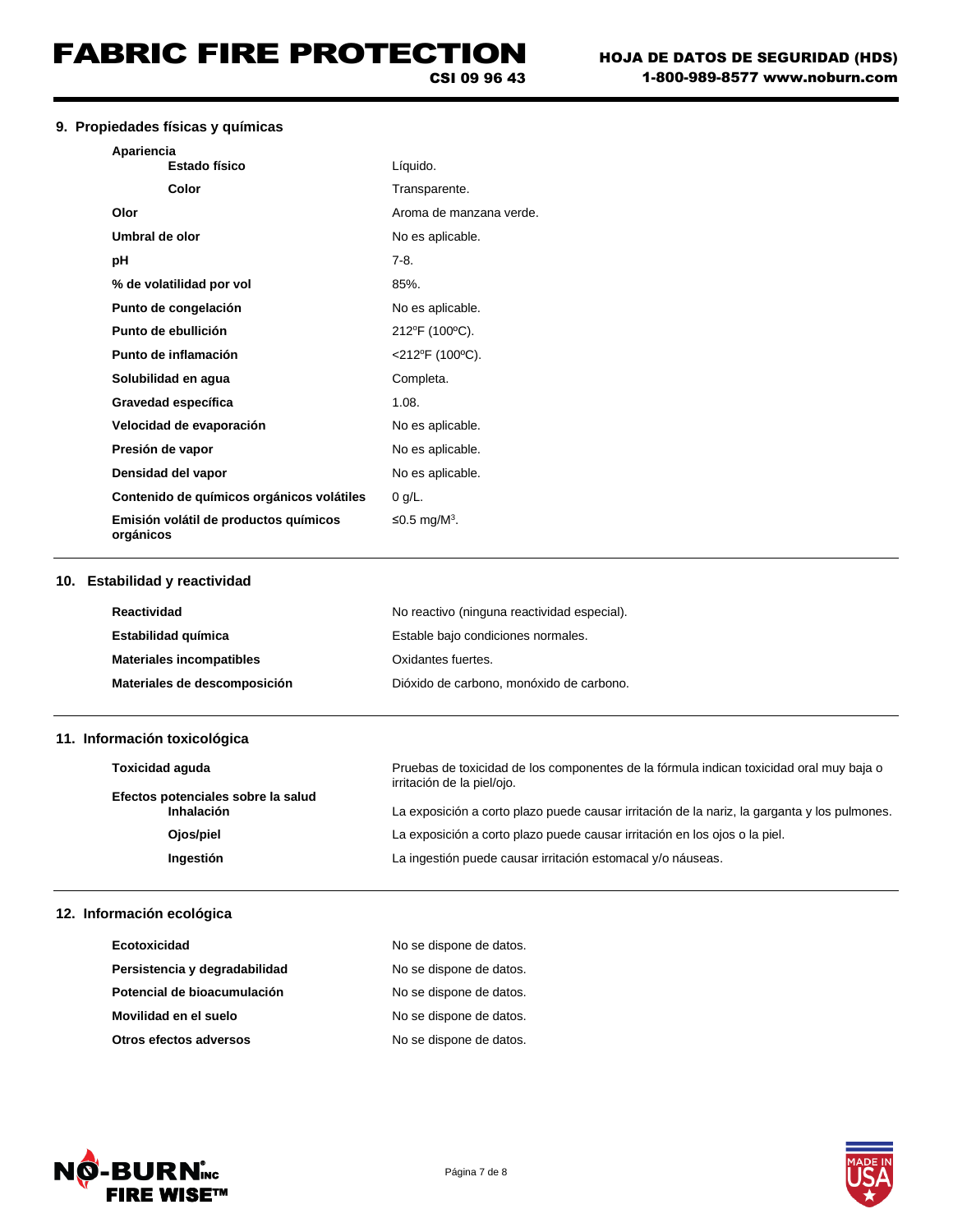## **9. Propiedades físicas y químicas**

| Apariencia                                         |                          |
|----------------------------------------------------|--------------------------|
| <b>Estado físico</b>                               | Líquido.                 |
| Color                                              | Transparente.            |
| Olor                                               | Aroma de manzana verde.  |
| Umbral de olor                                     | No es aplicable.         |
| рH                                                 | $7-8.$                   |
| % de volatilidad por vol                           | 85%                      |
| Punto de congelación                               | No es aplicable.         |
| Punto de ebullición                                | 212°F (100°C).           |
| Punto de inflamación                               | $<$ 212°F (100°C).       |
| Solubilidad en agua                                | Completa.                |
| Gravedad específica                                | 1.08.                    |
| Velocidad de evaporación                           | No es aplicable.         |
| Presión de vapor                                   | No es aplicable.         |
| Densidad del vapor                                 | No es aplicable.         |
| Contenido de químicos orgánicos volátiles          | $0$ g/L.                 |
| Emisión volátil de productos químicos<br>orgánicos | ≤0.5 mg/M <sup>3</sup> . |

### **10. Estabilidad y reactividad**

| Reactividad                     | No reactivo (ninguna reactividad especial). |
|---------------------------------|---------------------------------------------|
| Estabilidad química             | Estable bajo condiciones normales.          |
| <b>Materiales incompatibles</b> | Oxidantes fuertes.                          |
| Materiales de descomposición    | Dióxido de carbono, monóxido de carbono.    |

## **11. Información toxicológica**

| <b>Toxicidad aquda</b>                           | Pruebas de toxicidad de los componentes de la fórmula indican toxicidad oral muy baja o<br>irritación de la piel/ojo. |
|--------------------------------------------------|-----------------------------------------------------------------------------------------------------------------------|
| Efectos potenciales sobre la salud<br>Inhalación | La exposición a corto plazo puede causar irritación de la nariz, la garganta y los pulmones.                          |
| Ojos/piel                                        | La exposición a corto plazo puede causar irritación en los ojos o la piel.                                            |
| Ingestión                                        | La ingestión puede causar irritación estomacal y/o náuseas.                                                           |

### **12. Información ecológica**

| Ecotoxicidad                  | No se dispone de datos. |
|-------------------------------|-------------------------|
| Persistencia y degradabilidad | No se dispone de datos. |
| Potencial de bioacumulación   | No se dispone de datos. |
| Movilidad en el suelo         | No se dispone de datos. |
| Otros efectos adversos        | No se dispone de datos. |